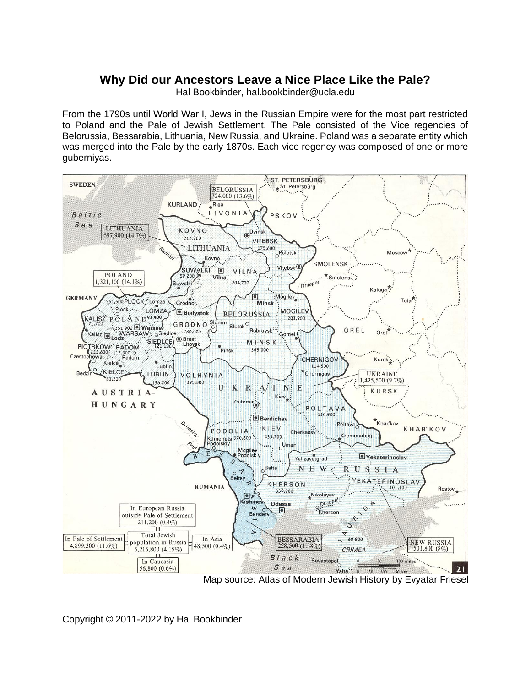## **Why Did our Ancestors Leave a Nice Place Like the Pale?**

Hal Bookbinder, hal.bookbinder@ucla.edu

From the 1790s until World War I, Jews in the Russian Empire were for the most part restricted to Poland and the Pale of Jewish Settlement. The Pale consisted of the Vice regencies of Belorussia, Bessarabia, Lithuania, New Russia, and Ukraine. Poland was a separate entity which was merged into the Pale by the early 1870s. Each vice regency was composed of one or more guberniyas.



Copyright © 2011-2022 by Hal Bookbinder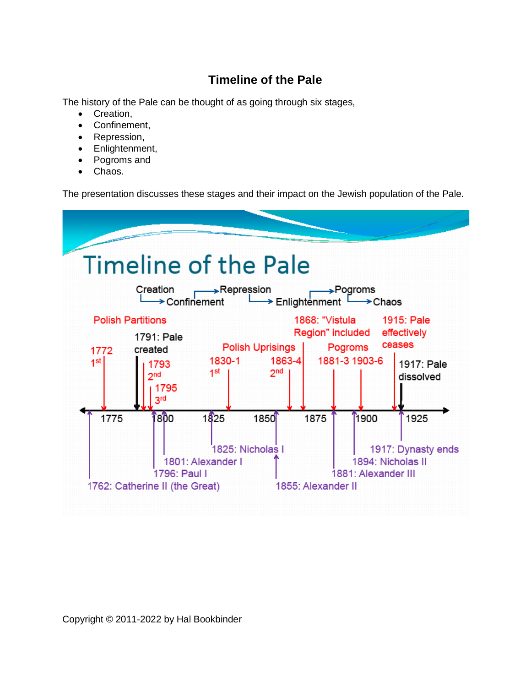## **Timeline of the Pale**

The history of the Pale can be thought of as going through six stages,

- Creation,
- Confinement,
- Repression,
- Enlightenment,
- Pogroms and
- Chaos.

The presentation discusses these stages and their impact on the Jewish population of the Pale.

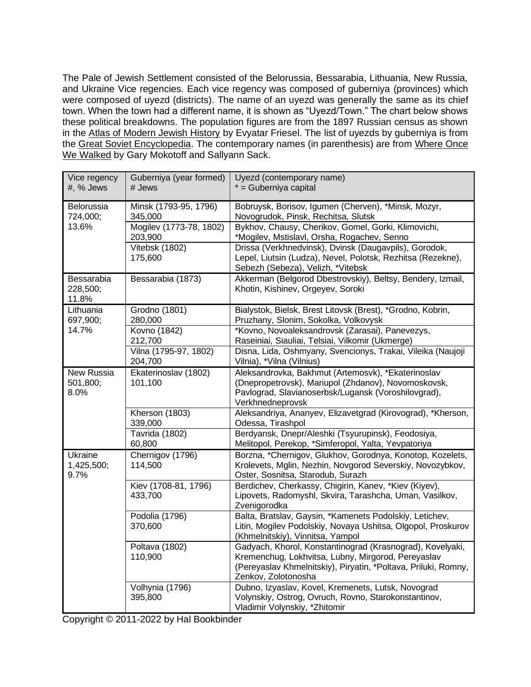The Pale of Jewish Settlement consisted of the Belorussia, Bessarabia, Lithuania, New Russia, and Ukraine Vice regencies. Each vice regency was composed of guberniya (provinces) which were composed of uyezd (districts). The name of an uyezd was generally the same as its chief town. When the town had a different name, it is shown as "Uyezd/Town." The chart below shows these political breakdowns. The population figures are from the 1897 Russian census as shown in the Atlas of Modern Jewish History by Evyatar Friesel. The list of uyezds by guberniya is from the Great Soviet Encyclopedia. The contemporary names (in parenthesis) are from Where Once We Walked by Gary Mokotoff and Sallyann Sack.

| Vice regency<br>#, % Jews       | Guberniya (year formed)<br># Jews  | Uyezd (contemporary name)<br>* = Guberniya capital                                                                                                                                                       |
|---------------------------------|------------------------------------|----------------------------------------------------------------------------------------------------------------------------------------------------------------------------------------------------------|
| Belorussia<br>724,000;<br>13.6% | Minsk (1793-95, 1796)<br>345,000   | Bobruysk, Borisov, Igumen (Cherven), *Minsk, Mozyr,<br>Novogrudok, Pinsk, Rechitsa, Slutsk                                                                                                               |
|                                 | Mogilev (1773-78, 1802)<br>203,900 | Bykhov, Chausy, Cherikov, Gomel, Gorki, Klimovichi,<br>*Mogilev, Mstislavl, Orsha, Rogachev, Senno                                                                                                       |
|                                 | Vitebsk (1802)<br>175,600          | Drissa (Verkhnedvinsk), Dvinsk (Daugavpils), Gorodok,<br>Lepel, Liutsin (Ludza), Nevel, Polotsk, Rezhitsa (Rezekne),<br>Sebezh (Sebeza), Velizh, *Vitebsk                                                |
| Bessarabia<br>228,500;<br>11.8% | Bessarabia (1873)                  | Akkerman (Belgorod Dbestrovskiy), Beltsy, Bendery, Izmail,<br>Khotin, Kishinev, Orgeyev, Soroki                                                                                                          |
| Lithuania<br>697,900;<br>14.7%  | Grodno (1801)<br>280,000           | Bialystok, Bielsk, Brest Litovsk (Brest), *Grodno, Kobrin,<br>Pruzhany, Slonim, Sokolka, Volkovysk                                                                                                       |
|                                 | Kovno (1842)<br>212,700            | *Kovno, Novoaleksandrovsk (Zarasai), Panevezys,<br>Raseiniai, Siauliai, Telsiai, Vilkomir (Ukmerge)                                                                                                      |
|                                 | Vilna (1795-97, 1802)<br>204,700   | Disna, Lida, Oshmyany, Svencionys, Trakai, Vileika (Naujoji<br>Vilnia), *Vilna (Vilnius)                                                                                                                 |
| New Russia<br>501,800;<br>8.0%  | Ekaterinoslav (1802)<br>101,100    | Aleksandrovka, Bakhmut (Artemosvk), *Ekaterinoslav<br>(Dnepropetrovsk), Mariupol (Zhdanov), Novomoskovsk,<br>Pavlograd, Slavianoserbsk/Lugansk (Voroshilovgrad),<br>Verkhnedneprovsk                     |
|                                 | Kherson (1803)<br>339,000          | Aleksandriya, Ananyev, Elizavetgrad (Kirovograd), *Kherson,<br>Odessa, Tirashpol                                                                                                                         |
|                                 | Tavrida (1802)<br>60,800           | Berdyansk, Dnepr/Aleshki (Tsyurupinsk), Feodosiya,<br>Melitopol, Perekop, *Simferopol, Yalta, Yevpatoriya                                                                                                |
| Ukraine<br>1,425,500;<br>9.7%   | Chernigov (1796)<br>114,500        | Borzna, *Chernigov, Glukhov, Gorodnya, Konotop, Kozelets,<br>Krolevets, Mglin, Nezhin, Novgorod Severskiy, Novozybkov,<br>Oster, Sosnitsa, Starodub, Surazh                                              |
|                                 | Kiev (1708-81, 1796)<br>433,700    | Berdichev, Cherkassy, Chigirin, Kanev, *Kiev (Kiyev),<br>Lipovets, Radomyshl, Skvira, Tarashcha, Uman, Vasilkov,<br>Zvenigorodka                                                                         |
|                                 | Podolia (1796)<br>370,600          | Balta, Bratslav, Gaysin, *Kamenets Podolskiy, Letichev,<br>Litin, Mogilev Podolskiy, Novaya Ushitsa, Olgopol, Proskurov<br>(Khmelnitskiy), Vinnitsa, Yampol                                              |
|                                 | Poltava (1802)<br>110,900          | Gadyach, Khorol, Konstantinograd (Krasnograd), Kovelyaki,<br>Kremenchug, Lokhvitsa, Lubny, Mirgorod, Pereyaslav<br>(Pereyaslav Khmelnitskiy), Piryatin, *Poltava, Priluki, Romny,<br>Zenkov, Zolotonosha |
|                                 | Volhynia (1796)<br>395,800         | Dubno, Izyaslav, Kovel, Kremenets, Lutsk, Novograd<br>Volynskiy, Ostrog, Ovruch, Rovno, Starokonstantinov,<br>Vladimir Volynskiy, *Zhitomir                                                              |

Copyright © 2011-2022 by Hal Bookbinder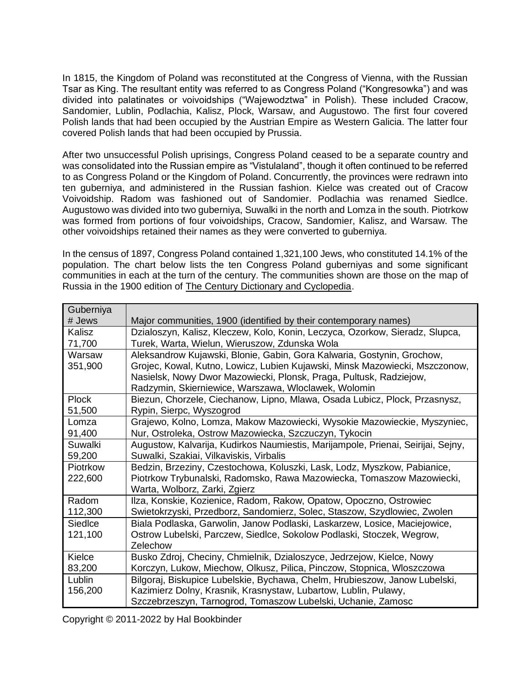In 1815, the Kingdom of Poland was reconstituted at the Congress of Vienna, with the Russian Tsar as King. The resultant entity was referred to as Congress Poland ("Kongresowka") and was divided into palatinates or voivoidships ("Wajewodztwa" in Polish). These included Cracow, Sandomier, Lublin, Podlachia, Kalisz, Plock, Warsaw, and Augustowo. The first four covered Polish lands that had been occupied by the Austrian Empire as Western Galicia. The latter four covered Polish lands that had been occupied by Prussia.

After two unsuccessful Polish uprisings, Congress Poland ceased to be a separate country and was consolidated into the Russian empire as "Vistulaland", though it often continued to be referred to as Congress Poland or the Kingdom of Poland. Concurrently, the provinces were redrawn into ten guberniya, and administered in the Russian fashion. Kielce was created out of Cracow Voivoidship. Radom was fashioned out of Sandomier. Podlachia was renamed Siedlce. Augustowo was divided into two guberniya, Suwalki in the north and Lomza in the south. Piotrkow was formed from portions of four voivoidships, Cracow, Sandomier, Kalisz, and Warsaw. The other voivoidships retained their names as they were converted to guberniya.

In the census of 1897, Congress Poland contained 1,321,100 Jews, who constituted 14.1% of the population. The chart below lists the ten Congress Poland guberniyas and some significant communities in each at the turn of the century. The communities shown are those on the map of Russia in the 1900 edition of The Century Dictionary and Cyclopedia.

| Guberniya    |                                                                                  |  |  |
|--------------|----------------------------------------------------------------------------------|--|--|
| # Jews       | Major communities, 1900 (identified by their contemporary names)                 |  |  |
| Kalisz       | Dzialoszyn, Kalisz, Kleczew, Kolo, Konin, Leczyca, Ozorkow, Sieradz, Slupca,     |  |  |
| 71,700       | Turek, Warta, Wielun, Wieruszow, Zdunska Wola                                    |  |  |
| Warsaw       | Aleksandrow Kujawski, Blonie, Gabin, Gora Kalwaria, Gostynin, Grochow,           |  |  |
| 351,900      | Grojec, Kowal, Kutno, Lowicz, Lubien Kujawski, Minsk Mazowiecki, Mszczonow,      |  |  |
|              | Nasielsk, Nowy Dwor Mazowiecki, Plonsk, Praga, Pultusk, Radziejow,               |  |  |
|              | Radzymin, Skierniewice, Warszawa, Włocławek, Wolomin                             |  |  |
| <b>Plock</b> | Biezun, Chorzele, Ciechanow, Lipno, Mlawa, Osada Lubicz, Plock, Przasnysz,       |  |  |
| 51,500       | Rypin, Sierpc, Wyszogrod                                                         |  |  |
| Lomza        | Grajewo, Kolno, Lomza, Makow Mazowiecki, Wysokie Mazowieckie, Myszyniec,         |  |  |
| 91,400       | Nur, Ostroleka, Ostrow Mazowiecka, Szczuczyn, Tykocin                            |  |  |
| Suwalki      | Augustow, Kalvarija, Kudirkos Naumiestis, Marijampole, Prienai, Seirijai, Sejny, |  |  |
| 59,200       | Suwalki, Szakiai, Vilkaviskis, Virbalis                                          |  |  |
| Piotrkow     | Bedzin, Brzeziny, Czestochowa, Koluszki, Lask, Lodz, Myszkow, Pabianice,         |  |  |
| 222,600      | Piotrkow Trybunalski, Radomsko, Rawa Mazowiecka, Tomaszow Mazowiecki,            |  |  |
|              | Warta, Wolborz, Zarki, Zgierz                                                    |  |  |
| Radom        | Ilza, Konskie, Kozienice, Radom, Rakow, Opatow, Opoczno, Ostrowiec               |  |  |
| 112,300      | Swietokrzyski, Przedborz, Sandomierz, Solec, Staszow, Szydlowiec, Zwolen         |  |  |
| Siedlce      | Biala Podlaska, Garwolin, Janow Podlaski, Laskarzew, Losice, Maciejowice,        |  |  |
| 121,100      | Ostrow Lubelski, Parczew, Siedlce, Sokolow Podlaski, Stoczek, Wegrow,            |  |  |
|              | Zelechow                                                                         |  |  |
| Kielce       | Busko Zdroj, Checiny, Chmielnik, Dzialoszyce, Jedrzejow, Kielce, Nowy            |  |  |
| 83,200       | Korczyn, Lukow, Miechow, Olkusz, Pilica, Pinczow, Stopnica, Wloszczowa           |  |  |
| Lublin       | Bilgoraj, Biskupice Lubelskie, Bychawa, Chelm, Hrubieszow, Janow Lubelski,       |  |  |
| 156,200      | Kazimierz Dolny, Krasnik, Krasnystaw, Lubartow, Lublin, Pulawy,                  |  |  |
|              | Szczebrzeszyn, Tarnogrod, Tomaszow Lubelski, Uchanie, Zamosc                     |  |  |

Copyright © 2011-2022 by Hal Bookbinder